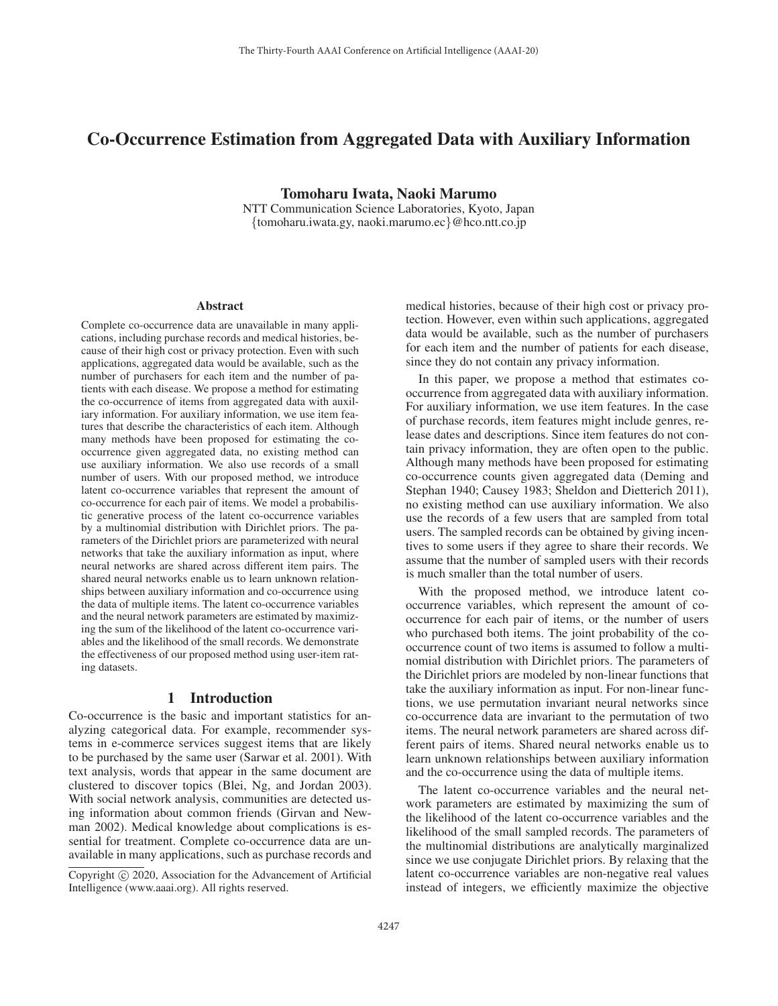# Co-Occurrence Estimation from Aggregated Data with Auxiliary Information

Tomoharu Iwata, Naoki Marumo

NTT Communication Science Laboratories, Kyoto, Japan {tomoharu.iwata.gy, naoki.marumo.ec}@hco.ntt.co.jp

#### Abstract

Complete co-occurrence data are unavailable in many applications, including purchase records and medical histories, because of their high cost or privacy protection. Even with such applications, aggregated data would be available, such as the number of purchasers for each item and the number of patients with each disease. We propose a method for estimating the co-occurrence of items from aggregated data with auxiliary information. For auxiliary information, we use item features that describe the characteristics of each item. Although many methods have been proposed for estimating the cooccurrence given aggregated data, no existing method can use auxiliary information. We also use records of a small number of users. With our proposed method, we introduce latent co-occurrence variables that represent the amount of co-occurrence for each pair of items. We model a probabilistic generative process of the latent co-occurrence variables by a multinomial distribution with Dirichlet priors. The parameters of the Dirichlet priors are parameterized with neural networks that take the auxiliary information as input, where neural networks are shared across different item pairs. The shared neural networks enable us to learn unknown relationships between auxiliary information and co-occurrence using the data of multiple items. The latent co-occurrence variables and the neural network parameters are estimated by maximizing the sum of the likelihood of the latent co-occurrence variables and the likelihood of the small records. We demonstrate the effectiveness of our proposed method using user-item rating datasets.

# 1 Introduction

Co-occurrence is the basic and important statistics for analyzing categorical data. For example, recommender systems in e-commerce services suggest items that are likely to be purchased by the same user (Sarwar et al. 2001). With text analysis, words that appear in the same document are clustered to discover topics (Blei, Ng, and Jordan 2003). With social network analysis, communities are detected using information about common friends (Girvan and Newman 2002). Medical knowledge about complications is essential for treatment. Complete co-occurrence data are unavailable in many applications, such as purchase records and

medical histories, because of their high cost or privacy protection. However, even within such applications, aggregated data would be available, such as the number of purchasers for each item and the number of patients for each disease, since they do not contain any privacy information.

In this paper, we propose a method that estimates cooccurrence from aggregated data with auxiliary information. For auxiliary information, we use item features. In the case of purchase records, item features might include genres, release dates and descriptions. Since item features do not contain privacy information, they are often open to the public. Although many methods have been proposed for estimating co-occurrence counts given aggregated data (Deming and Stephan 1940; Causey 1983; Sheldon and Dietterich 2011), no existing method can use auxiliary information. We also use the records of a few users that are sampled from total users. The sampled records can be obtained by giving incentives to some users if they agree to share their records. We assume that the number of sampled users with their records is much smaller than the total number of users.

With the proposed method, we introduce latent cooccurrence variables, which represent the amount of cooccurrence for each pair of items, or the number of users who purchased both items. The joint probability of the cooccurrence count of two items is assumed to follow a multinomial distribution with Dirichlet priors. The parameters of the Dirichlet priors are modeled by non-linear functions that take the auxiliary information as input. For non-linear functions, we use permutation invariant neural networks since co-occurrence data are invariant to the permutation of two items. The neural network parameters are shared across different pairs of items. Shared neural networks enable us to learn unknown relationships between auxiliary information and the co-occurrence using the data of multiple items.

The latent co-occurrence variables and the neural network parameters are estimated by maximizing the sum of the likelihood of the latent co-occurrence variables and the likelihood of the small sampled records. The parameters of the multinomial distributions are analytically marginalized since we use conjugate Dirichlet priors. By relaxing that the latent co-occurrence variables are non-negative real values instead of integers, we efficiently maximize the objective

Copyright  $\odot$  2020, Association for the Advancement of Artificial Intelligence (www.aaai.org). All rights reserved.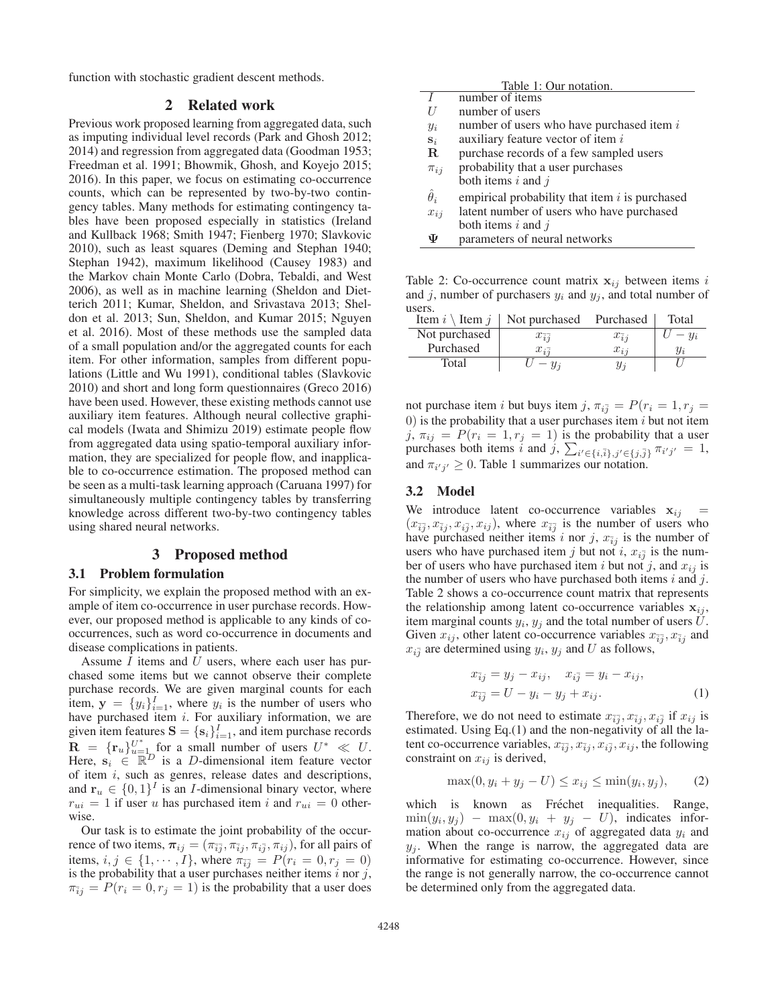function with stochastic gradient descent methods.

### 2 Related work

Previous work proposed learning from aggregated data, such as imputing individual level records (Park and Ghosh 2012; 2014) and regression from aggregated data (Goodman 1953; Freedman et al. 1991; Bhowmik, Ghosh, and Koyejo 2015; 2016). In this paper, we focus on estimating co-occurrence counts, which can be represented by two-by-two contingency tables. Many methods for estimating contingency tables have been proposed especially in statistics (Ireland and Kullback 1968; Smith 1947; Fienberg 1970; Slavkovic 2010), such as least squares (Deming and Stephan 1940; Stephan 1942), maximum likelihood (Causey 1983) and the Markov chain Monte Carlo (Dobra, Tebaldi, and West 2006), as well as in machine learning (Sheldon and Dietterich 2011; Kumar, Sheldon, and Srivastava 2013; Sheldon et al. 2013; Sun, Sheldon, and Kumar 2015; Nguyen et al. 2016). Most of these methods use the sampled data of a small population and/or the aggregated counts for each item. For other information, samples from different populations (Little and Wu 1991), conditional tables (Slavkovic 2010) and short and long form questionnaires (Greco 2016) have been used. However, these existing methods cannot use auxiliary item features. Although neural collective graphical models (Iwata and Shimizu 2019) estimate people flow from aggregated data using spatio-temporal auxiliary information, they are specialized for people flow, and inapplicable to co-occurrence estimation. The proposed method can be seen as a multi-task learning approach (Caruana 1997) for simultaneously multiple contingency tables by transferring knowledge across different two-by-two contingency tables using shared neural networks.

### 3 Proposed method

### 3.1 Problem formulation

For simplicity, we explain the proposed method with an example of item co-occurrence in user purchase records. However, our proposed method is applicable to any kinds of cooccurrences, such as word co-occurrence in documents and disease complications in patients.

Assume  $I$  items and  $U$  users, where each user has purchased some items but we cannot observe their complete purchase records. We are given marginal counts for each item,  $\mathbf{y} = \{y_i\}_{i=1}^T$ , where  $y_i$  is the number of users who have number different integration we are have purchased item  $i$ . For auxiliary information, we are given item features  $\mathbf{S} = \{s_i\}_{i=1}^L$ , and item purchase records<br>  $\mathbf{B} = \{s_i\}_{i=1}^L$  for a small number of users  $U^* \ll U$  $\mathbf{R} = {\{\mathbf{r}_u\}}_{u=\mu}^U$  for a small number of users  $U^* \ll U$ .<br>Here  $\mathbf{s}_i \in \mathbb{R}^D$  is a *D*-dimensional item feature vector Here,  $s_i \in \mathbb{R}^D$  is a *D*-dimensional item feature vector of item i, such as genres, release dates and descriptions, and  $\mathbf{r}_u \in \{0,1\}^I$  is an *I*-dimensional binary vector, where  $r_{ui} = 1$  if user u has purchased item i and  $r_{ui} = 0$  otherwise.

Our task is to estimate the joint probability of the occurrence of two items,  $\pi_{ij} = (\pi_{\bar{i}j}, \pi_{\bar{i}j}, \pi_{i\bar{j}}, \pi_{ij})$ , for all pairs of items,  $i, j \in \{1, \cdots, I\}$ , where  $\pi_{\overline{i}\overline{j}} = P(r_i = 0, r_j = 0)$ is the probability that a user purchases neither items  $\hat{i}$  nor  $\hat{j}$ ,  $\pi_{\overline{i}i} = P(r_i = 0, r_j = 1)$  is the probability that a user does

|                  | Table 1: Our notation.                           |
|------------------|--------------------------------------------------|
|                  | number of items                                  |
| H                | number of users                                  |
| $y_i$            | number of users who have purchased item $i$      |
| $S_i$            | auxiliary feature vector of item i               |
| $\mathbf{R}$     | purchase records of a few sampled users          |
| $\pi_{ij}$       | probability that a user purchases                |
|                  | both items $i$ and $j$                           |
| $\hat{\theta}_i$ | empirical probability that item $i$ is purchased |
| $x_{ij}$         | latent number of users who have purchased        |
|                  | both items i and $\dot{i}$                       |
| Ψ                | parameters of neural networks                    |

Table 2: Co-occurrence count matrix  $x_{ij}$  between items i and j, number of purchasers  $y_i$  and  $y_j$ , and total number of users.

| Item $i \setminus$ Item $j \mid$ | Not purchased Purchased        |                | Total |
|----------------------------------|--------------------------------|----------------|-------|
| Not purchased                    | $x_{\overline{i}\overline{j}}$ | $x_{\bar{i}j}$ |       |
| Purchased                        | $x_{i\bar{i}}$                 | $x_{ii}$       |       |
| Total                            | $ u_i$                         | $y_i$          |       |

not purchase item i but buys item j,  $\pi_{i\bar{j}} = P(r_i = 1, r_j =$ 0) is the probability that a user purchases item  $i$  but not item j,  $\pi_{ij} = P(r_i = 1, r_j = 1)$  is the probability that a user purchases both items i and j,  $\sum_{i' \in \{i,\bar{i}\}, j' \in \{j,\bar{j}\}} \pi_{i'j'} = 1$ , and  $\pi_{i'j'} \geq 0$ . Table 1 summarizes our notation.

### 3.2 Model

We introduce latent co-occurrence variables  $x_{ij}$  =  $(x_{\bar{i}\bar{j}}, x_{\bar{i}j}, x_{i\bar{j}}, x_{ij})$ , where  $x_{\bar{i}\bar{j}}$  is the number of users who have purchased neither items i nor j,  $x_{\bar{i}j}$  is the number of users who have purchased item j but not i,  $x_{i\bar{j}}$  is the number of users who have purchased item i but not j, and  $x_{ij}$  is the number of users who have purchased both items  $i$  and  $j$ . Table 2 shows a co-occurrence count matrix that represents the relationship among latent co-occurrence variables  $x_{ij}$ , item marginal counts  $y_i$ ,  $y_j$  and the total number of users  $\overline{U}$ . Given  $x_{ij}$ , other latent co-occurrence variables  $x_{\overline{ij}}$ ,  $x_{\overline{ij}}$  and  $x_{i\bar{j}}$  are determined using  $y_i$ ,  $y_j$  and U as follows,

$$
x_{\bar{i}j} = y_j - x_{ij}, \quad x_{i\bar{j}} = y_i - x_{ij}, x_{\bar{i}\bar{j}} = U - y_i - y_j + x_{ij}.
$$
 (1)

Therefore, we do not need to estimate  $x_{\overline{i}\overline{j}}, x_{\overline{i}\overline{j}}, x_{i\overline{j}}$  if  $x_{ij}$  is estimated. Using Eq.(1) and the non-negativity of all the latent co-occurrence variables,  $x_{\overline{i}\overline{j}}, x_{\overline{i}\overline{j}}, x_{i\overline{j}}, x_{i\overline{j}},$  the following constraint on  $x_{ij}$  is derived,

$$
\max(0, y_i + y_j - U) \le x_{ij} \le \min(y_i, y_j),
$$
 (2)

which is known as Fréchet inequalities. Range,  $\min(y_i, y_j)$  –  $\max(0, y_i + y_j - U)$ , indicates information about co-occurrence  $x_{ij}$  of aggregated data  $y_i$  and  $y_i$ . When the range is narrow, the aggregated data are informative for estimating co-occurrence. However, since the range is not generally narrow, the co-occurrence cannot be determined only from the aggregated data.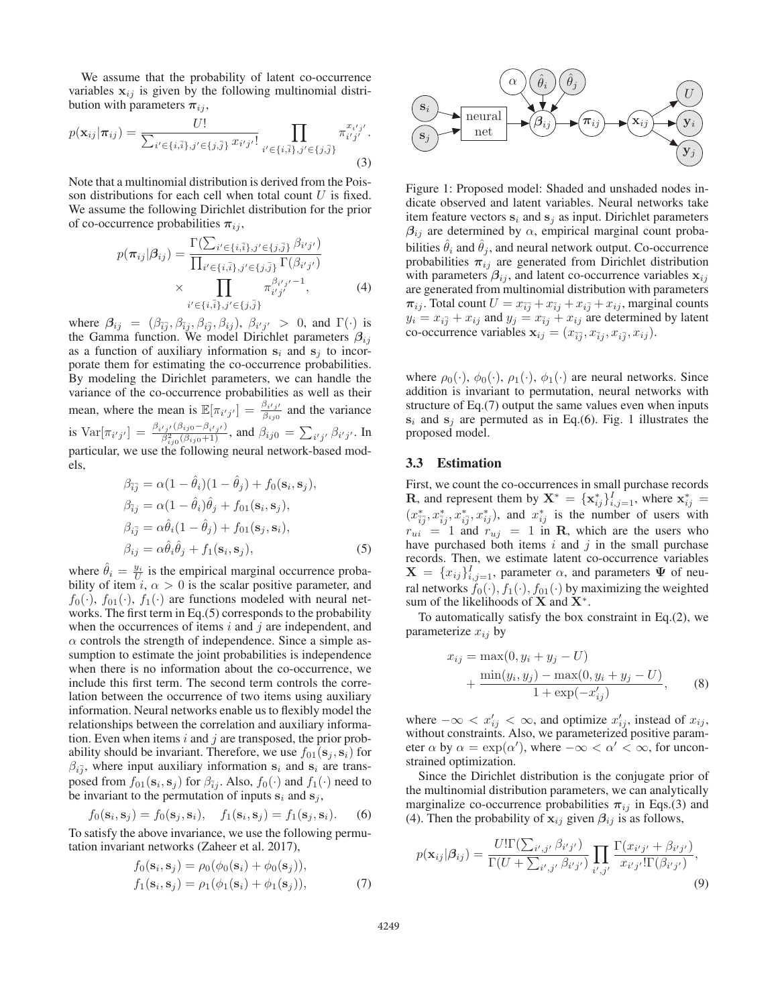We assume that the probability of latent co-occurrence variables  $x_{ij}$  is given by the following multinomial distribution with parameters  $\pi_{ij}$ ,

$$
p(\mathbf{x}_{ij}|\boldsymbol{\pi}_{ij}) = \frac{U!}{\sum_{i' \in \{i,\bar{i}\}, j' \in \{j,\bar{j}\}} x_{i'j'}!} \prod_{i' \in \{i,\bar{i}\}, j' \in \{j,\bar{j}\}} \pi_{i'j'}^{x_{i'j'}}.
$$
\n(3)

Note that a multinomial distribution is derived from the Poisson distributions for each cell when total count  $U$  is fixed. We assume the following Dirichlet distribution for the prior of co-occurrence probabilities  $\pi_{ii}$ ,

$$
p(\pi_{ij}|\beta_{ij}) = \frac{\Gamma(\sum_{i' \in \{i,\bar{i}\}, j' \in \{j,\bar{j}\}} \beta_{i'j'})}{\prod_{i' \in \{i,\bar{i}\}, j' \in \{j,\bar{j}\}} \Gamma(\beta_{i'j'})}
$$
  
 
$$
\times \prod_{i' \in \{i,\bar{i}\}, j' \in \{j,\bar{j}\}} \pi^{\beta_{i'j'}-1}_{i'j'}, \qquad (4)
$$

where  $\beta_{ij} = (\beta_{\bar{i}\bar{j}}, \beta_{\bar{i}j}, \beta_{i\bar{j}}, \beta_{ij}), \beta_{i'j'} > 0$ , and  $\Gamma(\cdot)$  is the Gamma function. We model Dirichlet parameters  $\beta_{ij}$ as a function of auxiliary information  $s_i$  and  $s_j$  to incorporate them for estimating the co-occurrence probabilities. By modeling the Dirichlet parameters, we can handle the variance of the co-occurrence probabilities as well as their mean, where the mean is  $\mathbb{E}[\pi_{i'j'}] = \frac{\beta_{i'j'}}{\beta_{ij0}}$  and the variance is  $\text{Var}[\pi_{i'j'}] = \frac{\beta_{i'j'}(\beta_{ij0} - \beta_{i'j'})}{\beta_{ij0}^2(\beta_{ij0} + 1)}$ , and  $\beta_{ij0} = \sum_{i'j'} \beta_{i'j'}$ . In particular, we use the following neural network-based models,

$$
\beta_{\overline{i}\overline{j}} = \alpha (1 - \theta_i)(1 - \theta_j) + f_0(\mathbf{s}_i, \mathbf{s}_j),
$$
  
\n
$$
\beta_{\overline{i}j} = \alpha (1 - \hat{\theta}_i)\hat{\theta}_j + f_{01}(\mathbf{s}_i, \mathbf{s}_j),
$$
  
\n
$$
\beta_{i\overline{j}} = \alpha \hat{\theta}_i (1 - \hat{\theta}_j) + f_{01}(\mathbf{s}_j, \mathbf{s}_i),
$$
  
\n
$$
\beta_{ij} = \alpha \hat{\theta}_i \hat{\theta}_j + f_1(\mathbf{s}_i, \mathbf{s}_j),
$$
\n(5)

where  $\hat{\theta}_i = \frac{y_i}{U}$  is the empirical marginal occurrence proba-<br>bility of item  $i \propto 0$  is the scalar positive parameter and bility of item i,  $\alpha > 0$  is the scalar positive parameter, and  $f_0(\cdot)$ ,  $f_{01}(\cdot)$ ,  $f_1(\cdot)$  are functions modeled with neural networks. The first term in Eq.(5) corresponds to the probability when the occurrences of items  $i$  and  $j$  are independent, and  $\alpha$  controls the strength of independence. Since a simple assumption to estimate the joint probabilities is independence when there is no information about the co-occurrence, we include this first term. The second term controls the correlation between the occurrence of two items using auxiliary information. Neural networks enable us to flexibly model the relationships between the correlation and auxiliary information. Even when items  $i$  and  $j$  are transposed, the prior probability should be invariant. Therefore, we use  $f_{01}(\mathbf{s}_i, \mathbf{s}_i)$  for  $\beta_{i\bar{j}}$ , where input auxiliary information  $s_i$  and  $s_i$  are transposed from  $f_{01}(\mathbf{s}_i, \mathbf{s}_j)$  for  $\beta_{\bar{i}j}$ . Also,  $f_0(\cdot)$  and  $f_1(\cdot)$  need to be invariant to the permutation of inputs  $s_i$  and  $s_j$ ,

$$
f_0(\mathbf{s}_i, \mathbf{s}_j) = f_0(\mathbf{s}_j, \mathbf{s}_i), \quad f_1(\mathbf{s}_i, \mathbf{s}_j) = f_1(\mathbf{s}_j, \mathbf{s}_i). \tag{6}
$$

 $f_0(\mathbf{s}_i, \mathbf{s}_j) = f_0(\mathbf{s}_j, \mathbf{s}_i), \quad f_1(\mathbf{s}_i, \mathbf{s}_j) = f_1(\mathbf{s}_j, \mathbf{s}_i).$  (6)<br>To satisfy the above invariance, we use the following permutation invariant networks (Zaheer et al. 2017),

$$
f_0(\mathbf{s}_i, \mathbf{s}_j) = \rho_0(\phi_0(\mathbf{s}_i) + \phi_0(\mathbf{s}_j)),
$$
  
\n
$$
f_1(\mathbf{s}_i, \mathbf{s}_j) = \rho_1(\phi_1(\mathbf{s}_i) + \phi_1(\mathbf{s}_j)),
$$
\n(7)



Figure 1: Proposed model: Shaded and unshaded nodes indicate observed and latent variables. Neural networks take item feature vectors  $s_i$  and  $s_j$  as input. Dirichlet parameters  $\beta_{ij}$  are determined by  $\alpha$ , empirical marginal count probabilities  $\hat{\theta}_i$  and  $\hat{\theta}_j$ , and neural network output. Co-occurrence probabilities  $\pi_{ij}$  are generated from Dirichlet distribution with parameters  $\beta_{ij}$ , and latent co-occurrence variables  $\mathbf{x}_{ij}$ are generated from multinomial distribution with parameters  $\pi_{ij}$ . Total count  $U = x_{\bar{i}\bar{j}} + x_{\bar{i}j} + x_{i\bar{j}} + x_{ij}$ , marginal counts  $y_i = x_{i\bar{j}} + x_{ij}$  and  $y_j = x_{\bar{i}j} + x_{ij}$  are determined by latent co-occurrence variables  $\mathbf{x}_{ij} = (x_{\overline{ij}}, x_{\overline{ij}}, x_{i\overline{j}}, x_{ij}).$ 

where  $\rho_0(\cdot)$ ,  $\phi_0(\cdot)$ ,  $\rho_1(\cdot)$ ,  $\phi_1(\cdot)$  are neural networks. Since addition is invariant to permutation, neural networks with structure of Eq.(7) output the same values even when inputs  $s_i$  and  $s_j$  are permuted as in Eq.(6). Fig. 1 illustrates the proposed model.

### 3.3 Estimation

First, we count the co-occurrences in small purchase records **R**, and represent them by  $\mathbf{X}^* = {\mathbf{x}_{ij}^*}^1 \mathbf{I}_{i,j=1}^T$ , where  $\mathbf{x}_{i,j}^*$ ,  $(x^*, x^*, x^*, x^*)$  and  $x^*$  is the number of users **ii**, and represent them by  $\mathbf{X} = \{x_{ij}^i\}_{i,j=1}^{\infty}$ , where  $x_{ij}^i = (x_{ij}^*, x_{ij}^*, x_{ij}^*, x_{ij}^*, x_{ij}^*)$ , and  $x_{ij}^*$  is the number of users with  $r_{ui}$  = 1 and  $r_{ui}$  = 1 in **R**, which are the users who have purchased both items  $i$  and  $j$  in the small purchase records. Then, we estimate latent co-occurrence variables  $\mathbf{X} = \{x_{ij}\}_{i,j=1}^I$ , parameter  $\alpha$ , and parameters  $\Psi$  of neu-<br>rel networks  $f_{\alpha}(\cdot)$ ,  $f_{\alpha}(\cdot)$  by maximizing the weighted ral networks  $f_0(\cdot), f_1(\cdot), f_{01}(\cdot)$  by maximizing the weighted sum of the likelihoods of **X** and **X**<sup>∗</sup>.

To automatically satisfy the box constraint in Eq.(2), we parameterize  $x_{ij}$  by

$$
x_{ij} = \max(0, y_i + y_j - U)
$$
  
+ 
$$
\frac{\min(y_i, y_j) - \max(0, y_i + y_j - U)}{1 + \exp(-x'_{ij})},
$$
 (8)

where  $-\infty < x'_{ij} < \infty$ , and optimize  $x'_{ij}$ , instead of  $x_{ij}$ , without constraints. Also, we parameterized positive parameter  $\alpha$  by  $\alpha = \exp(\alpha')$ , where  $-\infty < \alpha' < \infty$ , for unconstrained optimization strained optimization.

Since the Dirichlet distribution is the conjugate prior of the multinomial distribution parameters, we can analytically marginalize co-occurrence probabilities  $\pi_{ij}$  in Eqs.(3) and (4). Then the probability of  $\mathbf{x}_{ij}$  given  $\beta_{ij}$  is as follows,

$$
p(\mathbf{x}_{ij}|\beta_{ij}) = \frac{U!\Gamma(\sum_{i',j'}\beta_{i'j'})}{\Gamma(U+\sum_{i',j'}\beta_{i'j'})}\prod_{i',j'}\frac{\Gamma(x_{i'j'}+\beta_{i'j'})}{x_{i'j'}!\Gamma(\beta_{i'j'})},\tag{9}
$$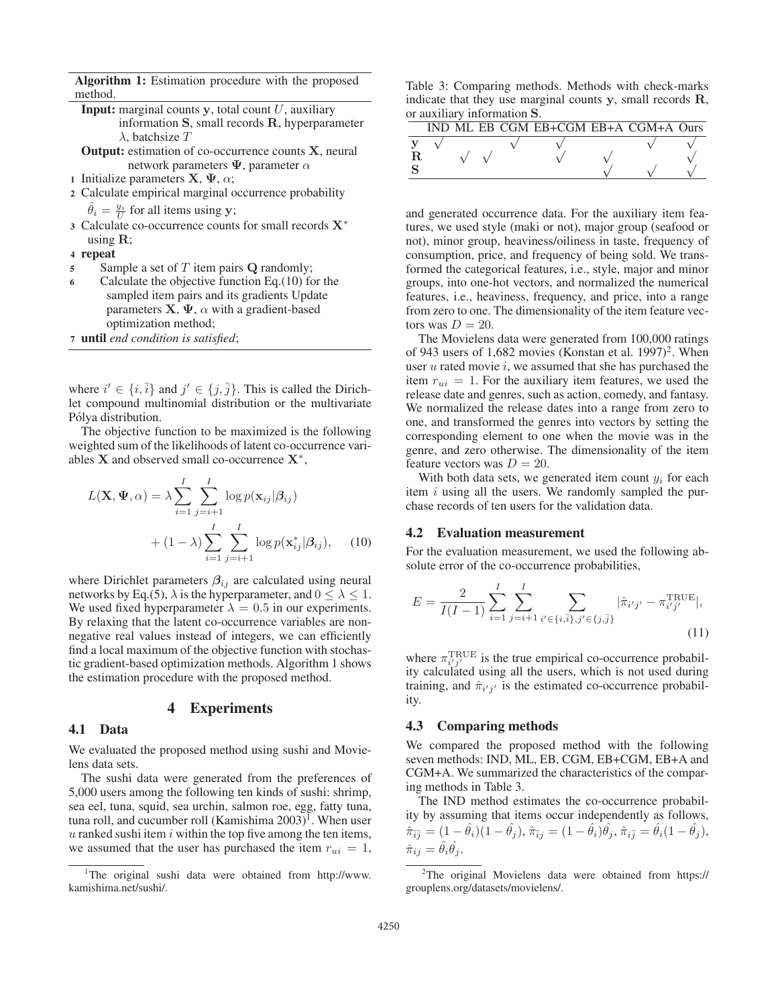Algorithm 1: Estimation procedure with the proposed method.

- **Input:** marginal counts  $\bf{y}$ , total count  $U$ , auxiliary information **S**, small records **R**, hyperparameter  $\lambda$ , batchsize T
- Output: estimation of co-occurrence counts **X**, neural network parameters  $\Psi$ , parameter  $\alpha$
- 1 Initialize parameters **X**,  $\Psi$ ,  $\alpha$ ;
- 2 Calculate empirical marginal occurrence probability
	- $\hat{\theta}_i = \frac{y_i}{U}$  for all items using **y**;<br>Solendate co-occurrence count
- <sup>3</sup> Calculate co-occurrence counts for small records **X**<sup>∗</sup> using **R**;
- 4 repeat
- <sup>5</sup> Sample a set of T item pairs **Q** randomly;
- 6 Calculate the objective function Eq.(10) for the sampled item pairs and its gradients Update parameters  $X$ ,  $\Psi$ ,  $\alpha$  with a gradient-based optimization method;
- <sup>7</sup> until *end condition is satisfied*;

where  $i' \in \{i, \overline{i}\}$  and  $j' \in \{j, \overline{j}\}$ . This is called the Dirichlet compound multinomial distribution or the multivariate Pólya distribution.

The objective function to be maximized is the following weighted sum of the likelihoods of latent co-occurrence variables **X** and observed small co-occurrence **X**<sup>∗</sup>,

$$
L(\mathbf{X}, \mathbf{\Psi}, \alpha) = \lambda \sum_{i=1}^{I} \sum_{j=i+1}^{I} \log p(\mathbf{x}_{ij} | \beta_{ij})
$$
  
+ 
$$
(1 - \lambda) \sum_{i=1}^{I} \sum_{j=i+1}^{I} \log p(\mathbf{x}_{ij}^{*} | \beta_{ij}), \quad (10)
$$

where Dirichlet parameters  $\beta_{ij}$  are calculated using neural networks by Eq.(5),  $\lambda$  is the hyperparameter, and  $0 \leq \lambda \leq 1$ . We used fixed hyperparameter  $\lambda=0.5$  in our experiments. By relaxing that the latent co-occurrence variables are nonnegative real values instead of integers, we can efficiently find a local maximum of the objective function with stochastic gradient-based optimization methods. Algorithm 1 shows the estimation procedure with the proposed method.

### 4 Experiments

#### 4.1 Data

We evaluated the proposed method using sushi and Movielens data sets.

The sushi data were generated from the preferences of 5,000 users among the following ten kinds of sushi: shrimp, sea eel, tuna, squid, sea urchin, salmon roe, egg, fatty tuna, tuna roll, and cucumber roll (Kamishima  $2003$ )<sup>1</sup>. When user  $u$  ranked sushi item  $i$  within the top five among the ten items, we assumed that the user has purchased the item  $r_{ui} = 1$ ,

Table 3: Comparing methods. Methods with check-marks indicate that they use marginal counts **y**, small records **R**, or auxiliary information **S**.

|  |  | IND ML EB CGM EB+CGM EB+A CGM+A Ours |  |  |
|--|--|--------------------------------------|--|--|
|  |  |                                      |  |  |
|  |  |                                      |  |  |
|  |  |                                      |  |  |
|  |  |                                      |  |  |

and generated occurrence data. For the auxiliary item features, we used style (maki or not), major group (seafood or not), minor group, heaviness/oiliness in taste, frequency of consumption, price, and frequency of being sold. We transformed the categorical features, i.e., style, major and minor groups, into one-hot vectors, and normalized the numerical features, i.e., heaviness, frequency, and price, into a range from zero to one. The dimensionality of the item feature vectors was  $D = 20$ .

The Movielens data were generated from 100,000 ratings of 943 users of 1,682 movies (Konstan et al. 1997)<sup>2</sup>. When user  $u$  rated movie  $i$ , we assumed that she has purchased the item  $r_{ui} = 1$ . For the auxiliary item features, we used the release date and genres, such as action, comedy, and fantasy. We normalized the release dates into a range from zero to one, and transformed the genres into vectors by setting the corresponding element to one when the movie was in the genre, and zero otherwise. The dimensionality of the item feature vectors was  $D = 20$ .

With both data sets, we generated item count  $y_i$  for each item  $i$  using all the users. We randomly sampled the purchase records of ten users for the validation data.

### 4.2 Evaluation measurement

For the evaluation measurement, we used the following absolute error of the co-occurrence probabilities,

$$
E = \frac{2}{I(I-1)} \sum_{i=1}^{I} \sum_{j=i+1}^{I} \sum_{i' \in \{i,\bar{i}\}, j' \in \{j,\bar{j}\}} |\hat{\pi}_{i'j'} - \pi_{i'j'}^{\text{TRUE}}|,
$$
\n(11)

where  $\pi_{i'j'}^{\text{TRUE}}$  is the true empirical co-occurrence probability calculated using all the users, which is not used during training, and  $\hat{\pi}_{i'j'}$  is the estimated co-occurrence probability.

#### 4.3 Comparing methods

We compared the proposed method with the following seven methods: IND, ML, EB, CGM, EB+CGM, EB+A and CGM+A. We summarized the characteristics of the comparing methods in Table 3.

The IND method estimates the co-occurrence probability by assuming that items occur independently as follows,  $\hat{\pi}_{\bar{i}\bar{j}} = (1 - \hat{\theta}_i)(1 - \hat{\theta}_j), \hat{\pi}_{\bar{i}j} = (1 - \hat{\theta}_i)\hat{\theta}_j, \hat{\pi}_{i\bar{j}} = \hat{\theta}_i(1 - \hat{\theta}_j),$  $\hat{\pi}_{ij} = \theta_i \theta_j.$ 

<sup>&</sup>lt;sup>1</sup>The original sushi data were obtained from http://www. kamishima.net/sushi/.

<sup>&</sup>lt;sup>2</sup>The original Movielens data were obtained from https:// grouplens.org/datasets/movielens/.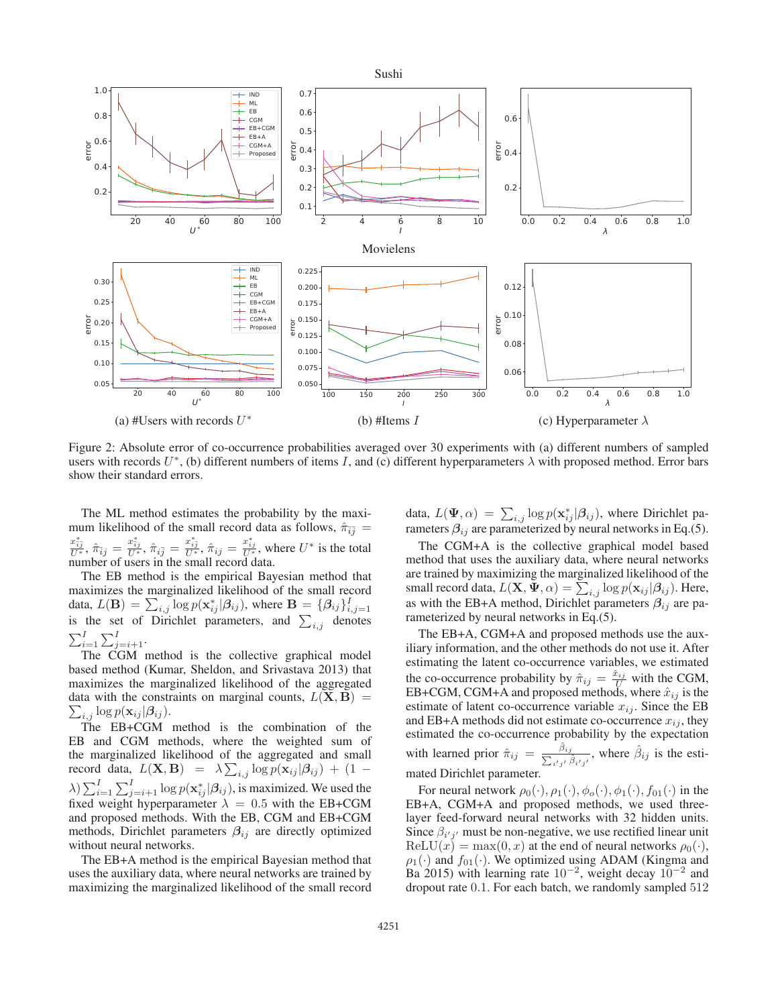

Figure 2: Absolute error of co-occurrence probabilities averaged over 30 experiments with (a) different numbers of sampled users with records  $U^*$ , (b) different numbers of items I, and (c) different hyperparameters  $\lambda$  with proposed method. Error bars show their standard errors.

The ML method estimates the probability by the maximum likelihood of the small record data as follows,  $\hat{\pi}_{i\overline{j}} =$  $\frac{x_{ij}^*}{U^*}, \hat{\pi}_{ij} = \frac{x_{ij}^*}{U^*}, \hat{\pi}_{ij} = \frac{x_{ij}^*}{U^*}, \hat{\pi}_{ij} = \frac{x_{ij}^*}{U^*}$ , where  $U^*$  is the total number of users in the small record data number of users in the small record data.

The EB method is the empirical Bayesian method that maximizes the marginalized likelihood of the small record data,  $L(\mathbf{B}) = \sum_{i,j} \log p(\mathbf{x}_{ij}^* | \beta_{ij})$ , where  $\mathbf{B} = {\beta_{ij}} I_{i,j=1}$  is the set of Dirichlet parameters, and  $\sum_{i,j}$  denotes  $\sum_{i=1}^{I} \sum_{j=i+1}^{I}$ 

The CGM method is the collective graphical model based method (Kumar, Sheldon, and Srivastava 2013) that maximizes the marginalized likelihood of the aggregated data with the constraints on marginal counts,  $L(\mathbf{X}, \mathbf{B}) = \sum_{k=1}^{\infty} \log n(\mathbf{x}_{ki} | \mathcal{B}_{ki})$  $\sum_{i,j} \log p(\mathbf{x}_{ij} | \boldsymbol{\beta}_{ij}).$ <br>The FB+CGM

The EB+CGM method is the combination of the EB and CGM methods, where the weighted sum of the marginalized likelihood of the aggregated and small record data,  $L(\mathbf{X}, \mathbf{B}) = \lambda \sum_{i,j} \log p(\mathbf{x}_{ij} | \beta_{ij}) + (1 - \lambda) \sum_{i,j} \sum_{j} \log p(\mathbf{x}_{ij} | \beta_{ij})$  $\lambda$ )  $\sum_{i=1}^{I} \sum_{j=i+1}^{I} \log p(\mathbf{x}_{ij}^{*} | \beta_{ij})$ , is maximized. We used the fixed weight hyperparameter  $\lambda = 0.5$  with the FB+CGM fixed weight hyperparameter  $\lambda = 0.5$  with the EB+CGM and proposed methods. With the EB, CGM and EB+CGM methods, Dirichlet parameters *β*ij are directly optimized without neural networks.

The EB+A method is the empirical Bayesian method that uses the auxiliary data, where neural networks are trained by maximizing the marginalized likelihood of the small record

data,  $L(\Psi, \alpha) = \sum_{i,j} \log p(\mathbf{x}_{ij}^* | \beta_{ij})$ , where Dirichlet parameters  $\beta_{ij}$  are parameterized by neural networks in Eq. (5) rameters  $\beta_{ij}$  are parameterized by neural networks in Eq.(5).

The CGM+A is the collective graphical model based method that uses the auxiliary data, where neural networks are trained by maximizing the marginalized likelihood of the small record data,  $L(\mathbf{X}, \Psi, \alpha) = \sum_{i,j} \log p(\mathbf{x}_{ij} | \beta_{ij})$ . Here, as with the EB+A method, Dirichlet parameters  $\beta_{ij}$  are parameterized by neural networks in Eq.(5).

The EB+A, CGM+A and proposed methods use the auxiliary information, and the other methods do not use it. After estimating the latent co-occurrence variables, we estimated the co-occurrence probability by  $\hat{\pi}_{ij} = \frac{\hat{x}_{ij}}{U}$  with the CGM,<br>EB+CGM, CGM+A and proposed methods, where  $\hat{x}_{ij}$  is the EB+CGM, CGM+A and proposed methods, where  $\hat{x}_{ij}$  is the estimate of latent co-occurrence variable  $x_i$ . Since the EB estimate of latent co-occurrence variable  $x_{ij}$ . Since the EB and EB+A methods did not estimate co-occurrence  $x_{ij}$ , they estimated the co-occurrence probability by the expectation with learned prior  $\hat{\pi}_{ij} = \frac{\hat{\beta}_{ij}}{\sum_{i'j'} \hat{\beta}_{i'j'}}$ , where  $\hat{\beta}_{ij}$  is the estimated Dirichlet parameter.

For neural network  $\rho_0(\cdot), \rho_1(\cdot), \phi_o(\cdot), \phi_1(\cdot), f_{01}(\cdot)$  in the EB+A, CGM+A and proposed methods, we used threelayer feed-forward neural networks with 32 hidden units. Since  $\beta_{i'j'}$  must be non-negative, we use rectified linear unit  $ReLU(x) = max(0, x)$  at the end of neural networks  $\rho_0(\cdot)$ ,  $\rho_1(\cdot)$  and  $f_{01}(\cdot)$ . We optimized using ADAM (Kingma and Ba 2015) with learning rate  $10^{-2}$ , weight decay  $10^{-2}$  and dropout rate 0.1. For each batch, we randomly sampled 512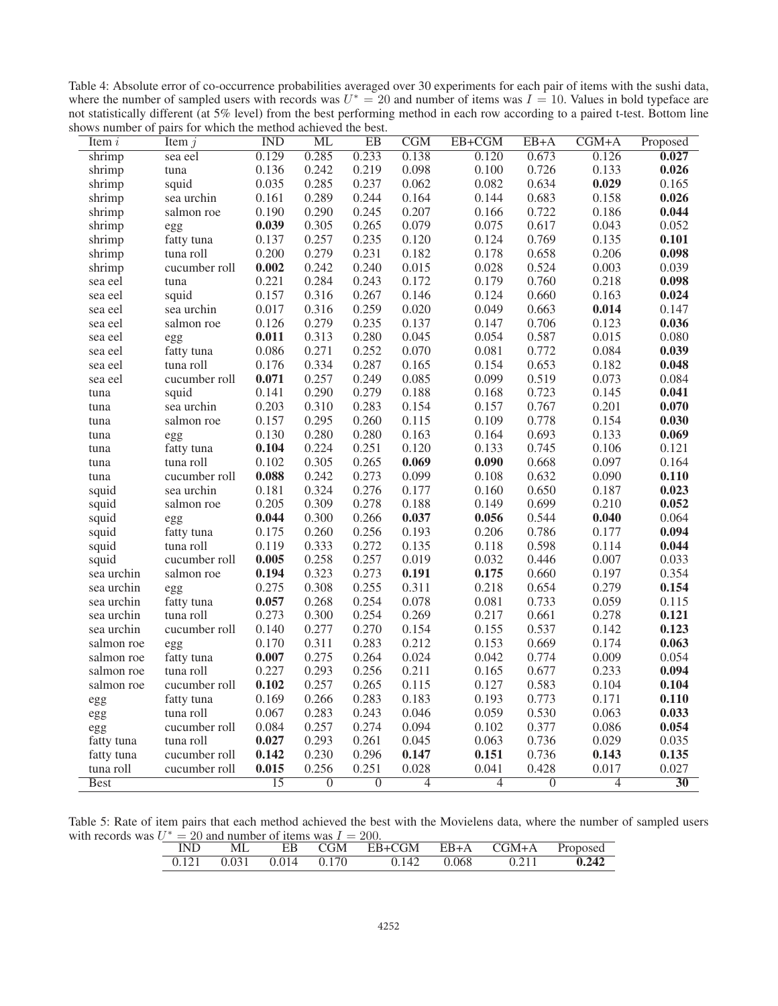Table 4: Absolute error of co-occurrence probabilities averaged over 30 experiments for each pair of items with the sushi data, where the number of sampled users with records was  $U^* = 20$  and number of items was  $I = 10$ . Values in bold typeface are not statistically different (at 5% level) from the best performing method in each row according to shows number of pairs for which the method achieved the best.

| Item $i$    | Item $j$      | $\overline{\text{IND}}$ | <b>ML</b>      | $\overline{EB}$ | $\overline{\text{CGM}}$ | EB+CGM         | EB+A           | $CGM+A$        | Proposed        |
|-------------|---------------|-------------------------|----------------|-----------------|-------------------------|----------------|----------------|----------------|-----------------|
| shrimp      | sea eel       | 0.129                   | 0.285          | 0.233           | 0.138                   | 0.120          | 0.673          | 0.126          | 0.027           |
| shrimp      | tuna          | 0.136                   | 0.242          | 0.219           | 0.098                   | 0.100          | 0.726          | 0.133          | 0.026           |
| shrimp      | squid         | 0.035                   | 0.285          | 0.237           | 0.062                   | 0.082          | 0.634          | 0.029          | 0.165           |
| shrimp      | sea urchin    | 0.161                   | 0.289          | 0.244           | 0.164                   | 0.144          | 0.683          | 0.158          | 0.026           |
| shrimp      | salmon roe    | 0.190                   | 0.290          | 0.245           | 0.207                   | 0.166          | 0.722          | 0.186          | 0.044           |
| shrimp      | egg           | 0.039                   | 0.305          | 0.265           | 0.079                   | 0.075          | 0.617          | 0.043          | 0.052           |
| shrimp      | fatty tuna    | 0.137                   | 0.257          | 0.235           | 0.120                   | 0.124          | 0.769          | 0.135          | 0.101           |
| shrimp      | tuna roll     | 0.200                   | 0.279          | 0.231           | 0.182                   | 0.178          | 0.658          | 0.206          | 0.098           |
| shrimp      | cucumber roll | 0.002                   | 0.242          | 0.240           | 0.015                   | 0.028          | 0.524          | 0.003          | 0.039           |
| sea eel     | tuna          | 0.221                   | 0.284          | 0.243           | 0.172                   | 0.179          | 0.760          | 0.218          | 0.098           |
| sea eel     | squid         | 0.157                   | 0.316          | 0.267           | 0.146                   | 0.124          | 0.660          | 0.163          | 0.024           |
| sea eel     | sea urchin    | 0.017                   | 0.316          | 0.259           | 0.020                   | 0.049          | 0.663          | 0.014          | 0.147           |
| sea eel     | salmon roe    | 0.126                   | 0.279          | 0.235           | 0.137                   | 0.147          | 0.706          | 0.123          | 0.036           |
| sea eel     | egg           | 0.011                   | 0.313          | 0.280           | 0.045                   | 0.054          | 0.587          | 0.015          | 0.080           |
| sea eel     | fatty tuna    | 0.086                   | 0.271          | 0.252           | 0.070                   | 0.081          | 0.772          | 0.084          | 0.039           |
| sea eel     | tuna roll     | 0.176                   | 0.334          | 0.287           | 0.165                   | 0.154          | 0.653          | 0.182          | 0.048           |
| sea eel     | cucumber roll | 0.071                   | 0.257          | 0.249           | 0.085                   | 0.099          | 0.519          | 0.073          | 0.084           |
| tuna        | squid         | 0.141                   | 0.290          | 0.279           | 0.188                   | 0.168          | 0.723          | 0.145          | 0.041           |
| tuna        | sea urchin    | 0.203                   | 0.310          | 0.283           | 0.154                   | 0.157          | 0.767          | 0.201          | 0.070           |
| tuna        | salmon roe    | 0.157                   | 0.295          | 0.260           | 0.115                   | 0.109          | 0.778          | 0.154          | 0.030           |
| tuna        | egg           | 0.130                   | 0.280          | 0.280           | 0.163                   | 0.164          | 0.693          | 0.133          | 0.069           |
| tuna        | fatty tuna    | 0.104                   | 0.224          | 0.251           | 0.120                   | 0.133          | 0.745          | 0.106          | 0.121           |
| tuna        | tuna roll     | 0.102                   | 0.305          | 0.265           | 0.069                   | 0.090          | 0.668          | 0.097          | 0.164           |
| tuna        | cucumber roll | 0.088                   | 0.242          | 0.273           | 0.099                   | 0.108          | 0.632          | 0.090          | 0.110           |
| squid       | sea urchin    | 0.181                   | 0.324          | 0.276           | 0.177                   | 0.160          | 0.650          | 0.187          | 0.023           |
| squid       | salmon roe    | 0.205                   | 0.309          | 0.278           | 0.188                   | 0.149          | 0.699          | 0.210          | 0.052           |
| squid       | egg           | 0.044                   | 0.300          | 0.266           | 0.037                   | 0.056          | 0.544          | 0.040          | 0.064           |
| squid       | fatty tuna    | 0.175                   | 0.260          | 0.256           | 0.193                   | 0.206          | 0.786          | 0.177          | 0.094           |
| squid       | tuna roll     | 0.119                   | 0.333          | 0.272           | 0.135                   | 0.118          | 0.598          | 0.114          | 0.044           |
| squid       | cucumber roll | 0.005                   | 0.258          | 0.257           | 0.019                   | 0.032          | 0.446          | 0.007          | 0.033           |
| sea urchin  | salmon roe    | 0.194                   | 0.323          | 0.273           | 0.191                   | 0.175          | 0.660          | 0.197          | 0.354           |
| sea urchin  | egg           | 0.275                   | 0.308          | 0.255           | 0.311                   | 0.218          | 0.654          | 0.279          | 0.154           |
| sea urchin  | fatty tuna    | 0.057                   | 0.268          | 0.254           | 0.078                   | 0.081          | 0.733          | 0.059          | 0.115           |
| sea urchin  | tuna roll     | 0.273                   | 0.300          | 0.254           | 0.269                   | 0.217          | 0.661          | 0.278          | 0.121           |
| sea urchin  | cucumber roll | 0.140                   | 0.277          | 0.270           | 0.154                   | 0.155          | 0.537          | 0.142          | 0.123           |
| salmon roe  | egg           | 0.170                   | 0.311          | 0.283           | 0.212                   | 0.153          | 0.669          | 0.174          | 0.063           |
| salmon roe  | fatty tuna    | 0.007                   | 0.275          | 0.264           | 0.024                   | 0.042          | 0.774          | 0.009          | 0.054           |
| salmon roe  | tuna roll     | 0.227                   | 0.293          | 0.256           | 0.211                   | 0.165          | 0.677          | 0.233          | 0.094           |
| salmon roe  | cucumber roll | 0.102                   | 0.257          | 0.265           | 0.115                   | 0.127          | 0.583          | 0.104          | 0.104           |
| egg         | fatty tuna    | 0.169                   | 0.266          | 0.283           | 0.183                   | 0.193          | 0.773          | 0.171          | 0.110           |
| egg         | tuna roll     | 0.067                   | 0.283          | 0.243           | 0.046                   | 0.059          | 0.530          | 0.063          | 0.033           |
| egg         | cucumber roll | 0.084                   | 0.257          | 0.274           | 0.094                   | 0.102          | 0.377          | 0.086          | 0.054           |
| fatty tuna  | tuna roll     | 0.027                   | 0.293          | 0.261           | 0.045                   | 0.063          | 0.736          | 0.029          | 0.035           |
| fatty tuna  | cucumber roll | 0.142                   | 0.230          | 0.296           | 0.147                   | 0.151          | 0.736          | 0.143          | 0.135           |
| tuna roll   | cucumber roll | 0.015                   | 0.256          | 0.251           | 0.028                   | 0.041          | 0.428          | 0.017          | 0.027           |
| <b>Best</b> |               | $\overline{15}$         | $\overline{0}$ | $\overline{0}$  | $\overline{4}$          | $\overline{4}$ | $\overline{0}$ | $\overline{4}$ | $\overline{30}$ |

Table 5: Rate of item pairs that each method achieved the best with the Movielens data, where the number of sampled users with records was  $U^* = 20$  and number of items was  $I = 200$ .

|  |                                 | EB CGM | <b>EB+CGM</b> EB+A CGM+A Proposed |       |       |       |
|--|---------------------------------|--------|-----------------------------------|-------|-------|-------|
|  | $0.121$ $0.031$ $0.014$ $0.170$ |        | 0.142                             | 0.068 | 0.211 | 0.242 |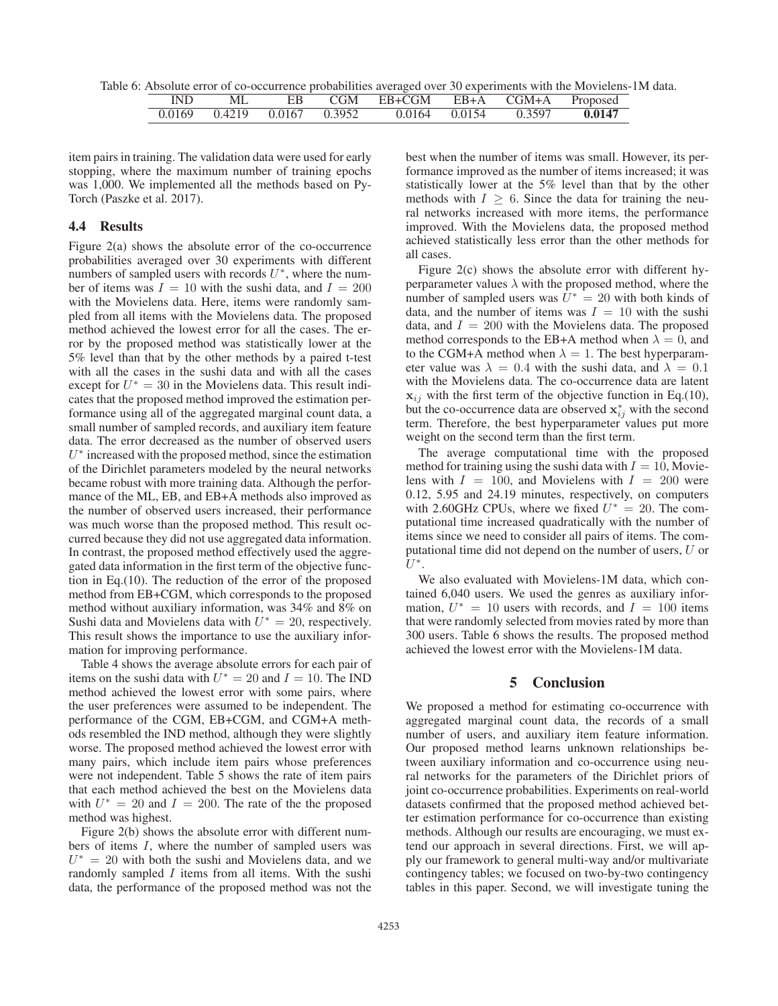Table 6: Absolute error of co-occurrence probabilities averaged over 30 experiments with the Movielens-1M data.

|  | EB CGM | EB+CGM EB+A CGM+A                                              |  | Proposed |
|--|--------|----------------------------------------------------------------|--|----------|
|  |        | $0.0169$ $0.4219$ $0.0167$ $0.3952$ $0.0164$ $0.0154$ $0.3597$ |  | 0.0147   |

item pairs in training. The validation data were used for early stopping, where the maximum number of training epochs was 1,000. We implemented all the methods based on Py-Torch (Paszke et al. 2017).

### 4.4 Results

Figure 2(a) shows the absolute error of the co-occurrence probabilities averaged over 30 experiments with different numbers of sampled users with records  $U^*$ , where the number of items was  $I = 10$  with the sushi data, and  $I = 200$ with the Movielens data. Here, items were randomly sampled from all items with the Movielens data. The proposed method achieved the lowest error for all the cases. The error by the proposed method was statistically lower at the 5% level than that by the other methods by a paired t-test with all the cases in the sushi data and with all the cases except for  $U^* = 30$  in the Movielens data. This result indicates that the proposed method improved the estimation performance using all of the aggregated marginal count data, a small number of sampled records, and auxiliary item feature data. The error decreased as the number of observed users  $U^*$  increased with the proposed method, since the estimation of the Dirichlet parameters modeled by the neural networks became robust with more training data. Although the performance of the ML, EB, and EB+A methods also improved as the number of observed users increased, their performance was much worse than the proposed method. This result occurred because they did not use aggregated data information. In contrast, the proposed method effectively used the aggregated data information in the first term of the objective function in Eq.(10). The reduction of the error of the proposed method from EB+CGM, which corresponds to the proposed method without auxiliary information, was 34% and 8% on Sushi data and Movielens data with  $U^* = 20$ , respectively. This result shows the importance to use the auxiliary information for improving performance.

Table 4 shows the average absolute errors for each pair of items on the sushi data with  $U^* = 20$  and  $I = 10$ . The IND method achieved the lowest error with some pairs, where the user preferences were assumed to be independent. The performance of the CGM, EB+CGM, and CGM+A methods resembled the IND method, although they were slightly worse. The proposed method achieved the lowest error with many pairs, which include item pairs whose preferences were not independent. Table 5 shows the rate of item pairs that each method achieved the best on the Movielens data with  $U^* = 20$  and  $I = 200$ . The rate of the the proposed method was highest.

Figure 2(b) shows the absolute error with different numbers of items I, where the number of sampled users was  $U^* = 20$  with both the sushi and Movielens data, and we randomly sampled  $I$  items from all items. With the sushi data, the performance of the proposed method was not the best when the number of items was small. However, its performance improved as the number of items increased; it was statistically lower at the 5% level than that by the other methods with  $I \geq 6$ . Since the data for training the neural networks increased with more items, the performance improved. With the Movielens data, the proposed method achieved statistically less error than the other methods for all cases.

Figure 2(c) shows the absolute error with different hyperparameter values  $\lambda$  with the proposed method, where the number of sampled users was  $U^* = 20$  with both kinds of data, and the number of items was  $I = 10$  with the sushi data, and  $I = 200$  with the Movielens data. The proposed method corresponds to the EB+A method when  $\lambda = 0$ , and to the CGM+A method when  $\lambda = 1$ . The best hyperparameter value was  $\lambda = 0.4$  with the sushi data, and  $\lambda = 0.1$ with the Movielens data. The co-occurrence data are latent  $\mathbf{x}_{ij}$  with the first term of the objective function in Eq.(10), but the co-occurrence data are observed  $\mathbf{x}_{ij}^*$  with the second term. Therefore, the best hyperparameter values put more weight on the second term than the first term.

The average computational time with the proposed method for training using the sushi data with  $I = 10$ , Movielens with  $I = 100$ , and Movielens with  $I = 200$  were 0.12, 5.95 and 24.19 minutes, respectively, on computers with 2.60GHz CPUs, where we fixed  $U^* = 20$ . The computational time increased quadratically with the number of items since we need to consider all pairs of items. The computational time did not depend on the number of users, U or  $U^*$ .

We also evaluated with Movielens-1M data, which contained 6,040 users. We used the genres as auxiliary information,  $U^* = 10$  users with records, and  $I = 100$  items that were randomly selected from movies rated by more than 300 users. Table 6 shows the results. The proposed method achieved the lowest error with the Movielens-1M data.

### 5 Conclusion

We proposed a method for estimating co-occurrence with aggregated marginal count data, the records of a small number of users, and auxiliary item feature information. Our proposed method learns unknown relationships between auxiliary information and co-occurrence using neural networks for the parameters of the Dirichlet priors of joint co-occurrence probabilities. Experiments on real-world datasets confirmed that the proposed method achieved better estimation performance for co-occurrence than existing methods. Although our results are encouraging, we must extend our approach in several directions. First, we will apply our framework to general multi-way and/or multivariate contingency tables; we focused on two-by-two contingency tables in this paper. Second, we will investigate tuning the